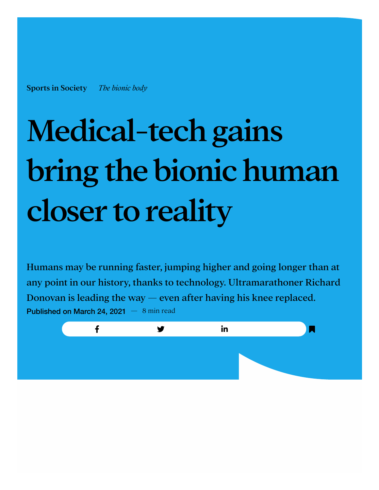[Sports in Society](https://ipondr.com/program/sports-in-society) *[The bionic body](https://ipondr.com/episode/the-bionic-body)*

## Medical-tech gains bring the bionic human closer to reality

Humans may be running faster, jumping higher and going longer than at any point in our history, thanks to technology. Ultramarathoner Richard Donovan is leading the way  $-$  even after having his knee replaced. Published on March 24, 2021  $-8$  min read

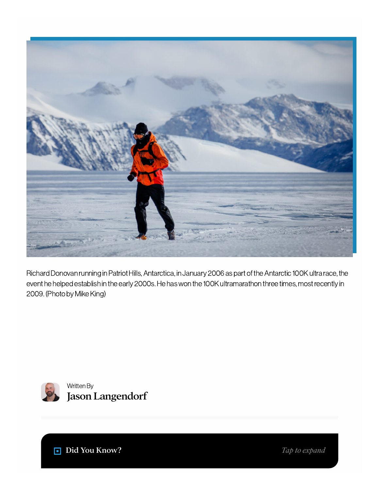

Richard Donovan running in Patriot Hills, Antarctica, in January 2006 as part of the Antarctic 100K ultra race, the event he helped establish in the early 2000s. He has won the 100K ultramarathon three times, most recently in 2009. (Photo by Mike King)



Written By Jason [Langendorf](https://ipondr.com/author/jason-langendorf)

Did You Know?

*Tap to expand*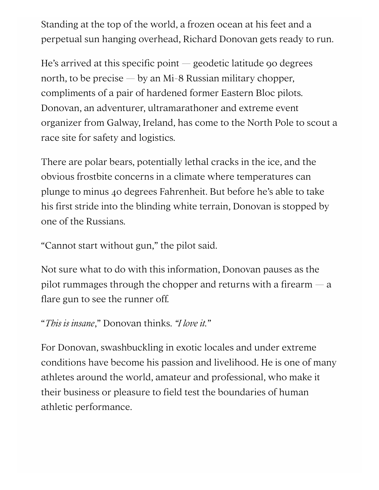Standing at the top of the world, a frozen ocean at his feet and a perpetual sun hanging overhead, Richard Donovan gets ready to run.

He's arrived at this specific point  $-$  geodetic latitude 90 degrees north, to be precise  $-$  by an Mi-8 Russian military chopper, compliments of a pair of hardened former Eastern Bloc pilots. Donovan, an adventurer, ultramarathoner and extreme event organizer from Galway, Ireland, has come to the North Pole to scout a race site for safety and logistics.

There are polar bears, potentially lethal cracks in the ice, and the obvious frostbite concerns in a climate where temperatures can plunge to minus 40 degrees Fahrenheit. But before he's able to take his first stride into the blinding white terrain, Donovan is stopped by one of the Russians.

"Cannot start without gun," the pilot said.

Not sure what to do with this information, Donovan pauses as the pilot rummages through the chopper and returns with a firearm  $-$  a flare gun to see the runner off.

```
"This is insane," Donovan thinks. "I love it."
```
For Donovan, swashbuckling in exotic locales and under extreme conditions have become his passion and livelihood. He is one of many athletes around the world, amateur and professional, who make it their business or pleasure to field test the boundaries of human athletic performance.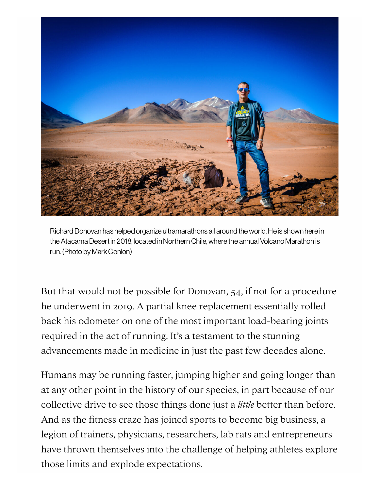

Richard Donovan has helped organize ultramarathons all around the world. He is shown here in the Atacama Desert in 2018, located in Northern Chile, where the annual Volcano Marathon is run. (Photo by Mark Conlon)

But that would not be possible for Donovan, 54, if not for a procedure he underwent in 2019. A partial knee replacement essentially rolled back his odometer on one of the most important load-bearing joints required in the act of running. It's a testament to the stunning advancements made in medicine in just the past few decades alone.

Humans may be running faster, jumping higher and going longer than at any other point in the history of our species, in part because of our collective drive to see those things done just a *little* better than before. And as the fitness craze has joined sports to become big business, a legion of trainers, physicians, researchers, lab rats and entrepreneurs have thrown themselves into the challenge of helping athletes explore those limits and explode expectations.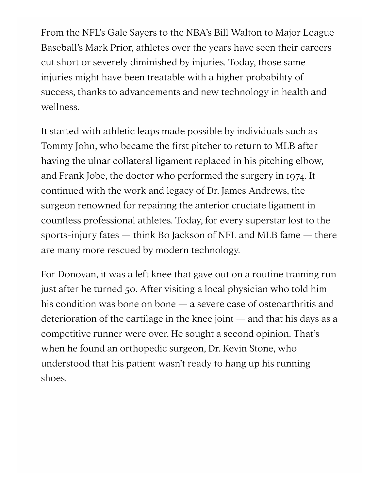From the NFL's Gale Sayers to the NBA's Bill Walton to Major League Baseball's Mark Prior, athletes over the years have seen their careers cut short or severely diminished by injuries. Today, those same injuries might have been treatable with a higher probability of success, thanks to advancements and new technology in health and wellness.

It started with athletic leaps made possible by individuals such as Tommy John, who became the first pitcher to return to MLB after having the ulnar collateral ligament replaced in his pitching elbow, and Frank Jobe, the doctor who performed the surgery in 1974. It continued with the work and legacy of Dr. James Andrews, the surgeon renowned for repairing the anterior cruciate ligament in countless professional athletes. Today, for every superstar lost to the sports-injury fates — think Bo Jackson of NFL and MLB fame — there are many more rescued by modern technology.

For Donovan, it was a left knee that gave out on a routine training run just after he turned 50. After visiting a local physician who told him his condition was bone on bone — a severe case of osteoarthritis and deterioration of the cartilage in the knee joint  $-$  and that his days as a competitive runner were over. He sought a second opinion. That's when he found an orthopedic surgeon, Dr. Kevin Stone, who understood that his patient wasn't ready to hang up his running shoes.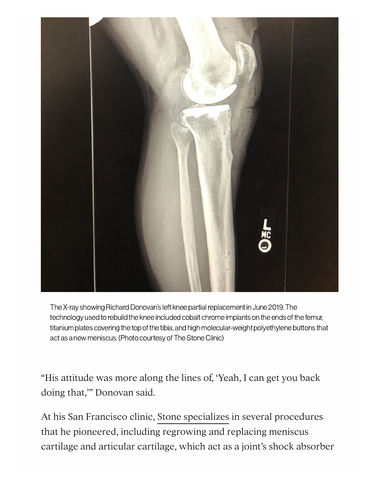

The X-ray showing Richard Donovan's left knee partial replacement in June 2019. The technology used to rebuild the knee included cobalt chrome implants on the ends of the femur, titaniumplates covering the top of the tibia, and highmolecular-weight polyethylene buttons that act as a new meniscus. (Photo courtesy of The Stone Clinic)

"His attitude was more along the lines of, 'Yeah, I can get you back doing that,'" Donovan said.

At his San Francisco clinic, [Stone specializes](https://www.stoneclinic.com/dr-kevin-r-stone) in several procedures that he pioneered, including regrowing and replacing meniscus cartilage and articular cartilage, which act as a joint's shock absorber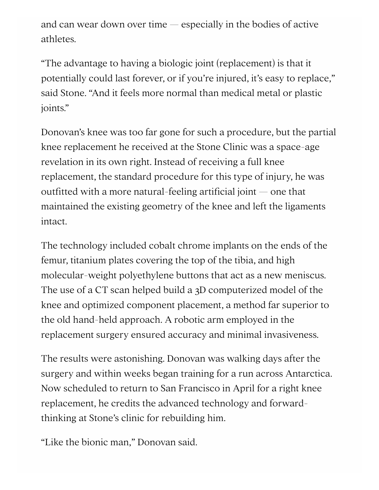and can wear down over time — especially in the bodies of active athletes.

"The advantage to having a biologic joint (replacement) is that it potentially could last forever, or if you're injured, it's easy to replace," said Stone. "And it feels more normal than medical metal or plastic joints."

Donovan's knee was too far gone for such a procedure, but the partial knee replacement he received at the Stone Clinic was a space-age revelation in its own right. Instead of receiving a full knee replacement, the standard procedure for this type of injury, he was outfitted with a more natural-feeling artificial joint  $-$  one that maintained the existing geometry of the knee and left the ligaments intact.

The technology included cobalt chrome implants on the ends of the femur, titanium plates covering the top of the tibia, and high molecular-weight polyethylene buttons that act as a new meniscus. The use of a CT scan helped build a 3D computerized model of the knee and optimized component placement, a method far superior to the old hand-held approach. A robotic arm employed in the replacement surgery ensured accuracy and minimal invasiveness.

The results were astonishing. Donovan was walking days after the surgery and within weeks began training for a run across Antarctica. Now scheduled to return to San Francisco in April for a right knee replacement, he credits the advanced technology and forwardthinking at Stone's clinic for rebuilding him.

"Like the bionic man," Donovan said.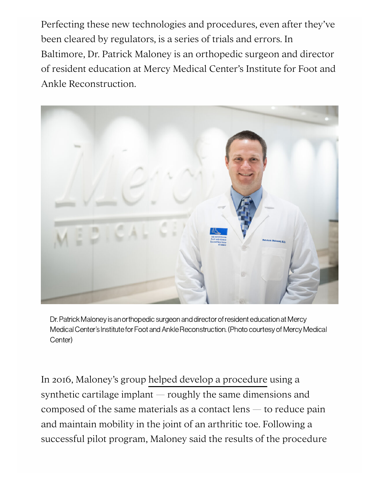Perfecting these new technologies and procedures, even after they've been cleared by regulators, is a series of trials and errors. In Baltimore, Dr. Patrick Maloney is an orthopedic surgeon and director of resident education at Mercy Medical Center's Institute for Foot and Ankle Reconstruction.



Dr. Patrick Maloney is an orthopedic surgeon and director ofresident education at Mercy Medical Center's Institute for Foot and Ankle Reconstruction. (Photo courtesy of Mercy Medical Center)

In 2016, Maloney's group [helped develop a procedure](https://www.cfaortho.com/media/news/2016/10/dr-patrick-maloney-performs-first-toe-implant-in) using a synthetic cartilage implant — roughly the same dimensions and composed of the same materials as a contact lens  $-$  to reduce pain and maintain mobility in the joint of an arthritic toe. Following a successful pilot program, Maloney said the results of the procedure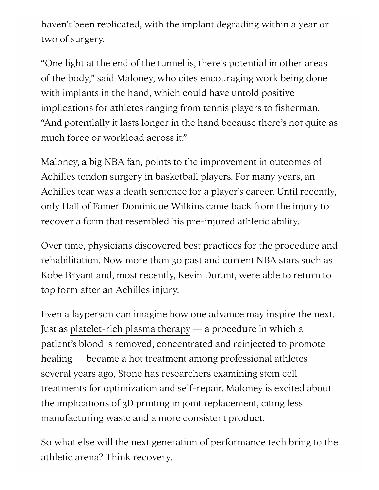haven't been replicated, with the implant degrading within a year or two of surgery.

"One light at the end of the tunnel is, there's potential in other areas of the body," said Maloney, who cites encouraging work being done with implants in the hand, which could have untold positive implications for athletes ranging from tennis players to fisherman. "And potentially it lasts longer in the hand because there's not quite as much force or workload across it."

Maloney, a big NBA fan, points to the improvement in outcomes of Achilles tendon surgery in basketball players. For many years, an Achilles tear was a death sentence for a player's career. Until recently, only Hall of Famer Dominique Wilkins came back from the injury to recover a form that resembled his pre-injured athletic ability.

Over time, physicians discovered best practices for the procedure and rehabilitation. Now more than 30 past and current NBA stars such as Kobe Bryant and, most recently, Kevin Durant, were able to return to top form after an Achilles injury.

Even a layperson can imagine how one advance may inspire the next. Just as [platelet-rich plasma therapy](https://www.hss.edu/condition-list_prp-injections.asp) — a procedure in which a patient's blood is removed, concentrated and reinjected to promote healing — became a hot treatment among professional athletes several years ago, Stone has researchers examining stem cell treatments for optimization and self-repair. Maloney is excited about the implications of 3D printing in joint replacement, citing less manufacturing waste and a more consistent product.

So what else will the next generation of performance tech bring to the athletic arena? Think recovery.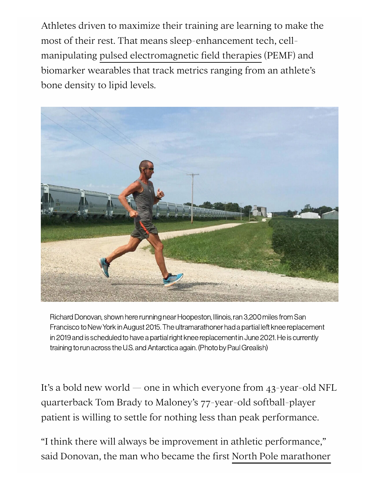Athletes driven to maximize their training are learning to make the most of their rest. That means sleep-enhancement tech, cellmanipulating [pulsed electromagnetic field therapies](https://pulseinnovativetherapy.com/pemf) (PEMF) and biomarker wearables that track metrics ranging from an athlete's bone density to lipid levels.



Richard Donovan, shown here running near Hoopeston, Illinois, ran 3,200 miles from San Francisco to New York in August 2015. The ultramarathoner had a partial left knee replacement in 2019 and is scheduled to have a partial right knee replacement in June 2021. He is currently training to run across the U.S. and Antarctica again. (Photo by Paul Grealish)

It's a bold new world — one in which everyone from 43-year-old NFL quarterback Tom Brady to Maloney's 77-year-old softball-player patient is willing to settle for nothing less than peak performance.

"I think there will always be improvement in athletic performance," said Donovan, the man who became the first [North Pole marathoner](https://www.npmarathon.com/)